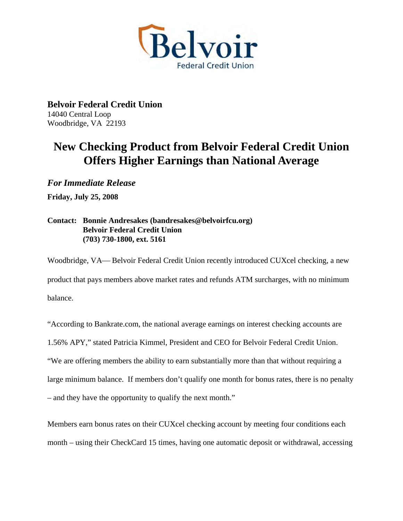

**Belvoir Federal Credit Union**  14040 Central Loop Woodbridge, VA 22193

## **New Checking Product from Belvoir Federal Credit Union Offers Higher Earnings than National Average**

*For Immediate Release* 

**Friday, July 25, 2008** 

## **Contact: Bonnie Andresakes (bandresakes@belvoirfcu.org) Belvoir Federal Credit Union (703) 730-1800, ext. 5161**

Woodbridge, VA— Belvoir Federal Credit Union recently introduced CUXcel checking, a new product that pays members above market rates and refunds ATM surcharges, with no minimum balance.

"According to Bankrate.com, the national average earnings on interest checking accounts are

1.56% APY," stated Patricia Kimmel, President and CEO for Belvoir Federal Credit Union.

"We are offering members the ability to earn substantially more than that without requiring a

large minimum balance. If members don't qualify one month for bonus rates, there is no penalty

– and they have the opportunity to qualify the next month."

Members earn bonus rates on their CUXcel checking account by meeting four conditions each month – using their CheckCard 15 times, having one automatic deposit or withdrawal, accessing